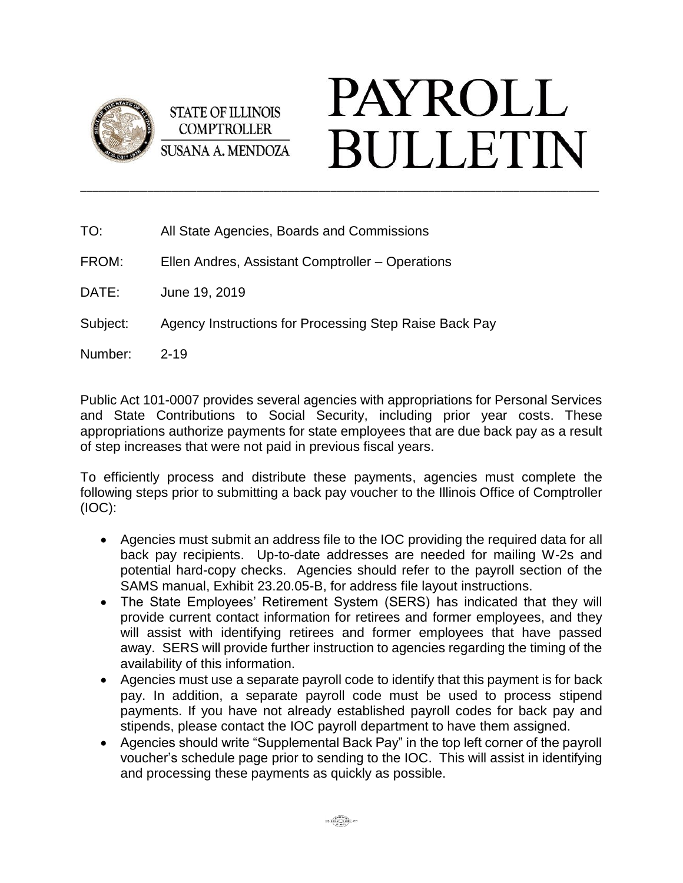

**STATE OF ILLINOIS COMPTROLLER SUSANA A. MENDOZA** 

## **PAYROLL BULLETIN**

| TO:      | All State Agencies, Boards and Commissions             |
|----------|--------------------------------------------------------|
| FROM:    | Ellen Andres, Assistant Comptroller – Operations       |
| DATE:    | June 19, 2019                                          |
| Subject: | Agency Instructions for Processing Step Raise Back Pay |
| Number:  | $2 - 19$                                               |

Public Act 101-0007 provides several agencies with appropriations for Personal Services and State Contributions to Social Security, including prior year costs. These appropriations authorize payments for state employees that are due back pay as a result of step increases that were not paid in previous fiscal years.

\_\_\_\_\_\_\_\_\_\_\_\_\_\_\_\_\_\_\_\_\_\_\_\_\_\_\_\_\_\_\_\_\_\_\_\_\_\_\_\_\_\_\_\_\_\_\_\_\_\_\_\_\_\_\_\_\_\_\_\_\_\_\_\_\_\_\_\_\_\_\_\_\_\_\_\_\_\_\_\_\_\_\_\_\_

To efficiently process and distribute these payments, agencies must complete the following steps prior to submitting a back pay voucher to the Illinois Office of Comptroller (IOC):

- Agencies must submit an address file to the IOC providing the required data for all back pay recipients. Up-to-date addresses are needed for mailing W-2s and potential hard-copy checks. Agencies should refer to the payroll section of the SAMS manual, Exhibit 23.20.05-B, for address file layout instructions.
- The State Employees' Retirement System (SERS) has indicated that they will provide current contact information for retirees and former employees, and they will assist with identifying retirees and former employees that have passed away. SERS will provide further instruction to agencies regarding the timing of the availability of this information.
- Agencies must use a separate payroll code to identify that this payment is for back pay. In addition, a separate payroll code must be used to process stipend payments. If you have not already established payroll codes for back pay and stipends, please contact the IOC payroll department to have them assigned.
- Agencies should write "Supplemental Back Pay" in the top left corner of the payroll voucher's schedule page prior to sending to the IOC. This will assist in identifying and processing these payments as quickly as possible.